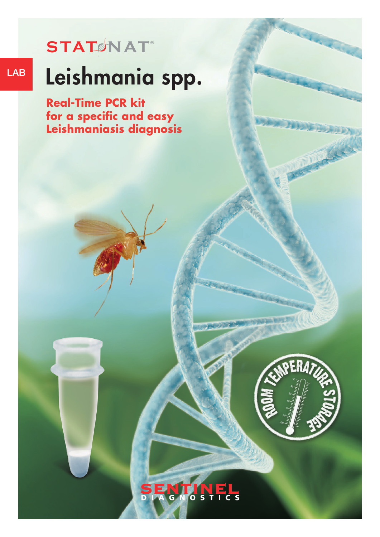### $STAT$ **MAT**

# LAB Leishmania spp.

**Real-Time PCR kit for a specific and easy Leishmaniasis diagnosis**

**STAT NAT ®**



#### N Ξ  $\overline{\mathbf{s}}$  $\mathbf C$